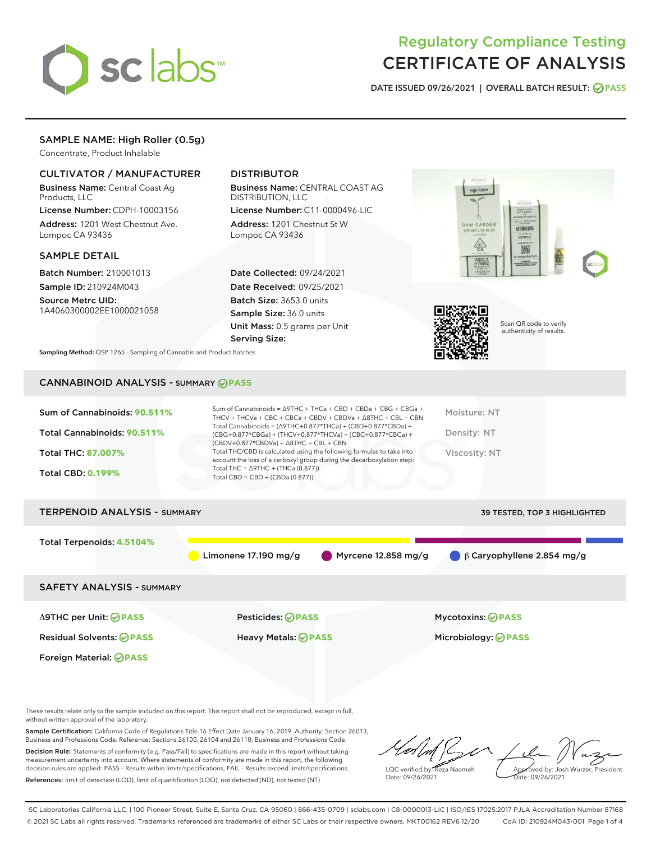

# Regulatory Compliance Testing CERTIFICATE OF ANALYSIS

DATE ISSUED 09/26/2021 | OVERALL BATCH RESULT: @ PASS

# SAMPLE NAME: High Roller (0.5g)

Concentrate, Product Inhalable

# CULTIVATOR / MANUFACTURER

Business Name: Central Coast Ag Products, LLC

License Number: CDPH-10003156 Address: 1201 West Chestnut Ave. Lompoc CA 93436

#### SAMPLE DETAIL

Batch Number: 210001013 Sample ID: 210924M043

Source Metrc UID: 1A4060300002EE1000021058

Foreign Material: **PASS**

# DISTRIBUTOR

Business Name: CENTRAL COAST AG DISTRIBUTION, LLC

License Number: C11-0000496-LIC Address: 1201 Chestnut St W Lompoc CA 93436

Date Collected: 09/24/2021 Date Received: 09/25/2021 Batch Size: 3653.0 units Sample Size: 36.0 units Unit Mass: 0.5 grams per Unit Serving Size:





Scan QR code to verify authenticity of results.

Sampling Method: QSP 1265 - Sampling of Cannabis and Product Batches

# CANNABINOID ANALYSIS - SUMMARY **PASS**

| Sum of Cannabinoids: 90.511%<br>Total Cannabinoids: 90.511%<br><b>Total THC: 87,007%</b><br><b>Total CBD: 0.199%</b> | Sum of Cannabinoids = $\triangle$ 9THC + THCa + CBD + CBDa + CBG + CBGa +<br>THCV + THCVa + CBC + CBCa + CBDV + CBDVa + $\land$ 8THC + CBL + CBN<br>Total Cannabinoids = $(\Delta$ 9THC+0.877*THCa) + (CBD+0.877*CBDa) +<br>(CBG+0.877*CBGa) + (THCV+0.877*THCVa) + (CBC+0.877*CBCa) +<br>$(CBDV+0.877*CBDVa) + \Delta 8THC + CBL + CBN$<br>Total THC/CBD is calculated using the following formulas to take into<br>account the loss of a carboxyl group during the decarboxylation step:<br>Total THC = $\triangle$ 9THC + (THCa (0.877))<br>Total CBD = $CBD + (CBDa (0.877))$ | Moisture: NT<br>Density: NT<br>Viscosity: NT           |
|----------------------------------------------------------------------------------------------------------------------|-----------------------------------------------------------------------------------------------------------------------------------------------------------------------------------------------------------------------------------------------------------------------------------------------------------------------------------------------------------------------------------------------------------------------------------------------------------------------------------------------------------------------------------------------------------------------------------|--------------------------------------------------------|
| <b>TERPENOID ANALYSIS - SUMMARY</b>                                                                                  |                                                                                                                                                                                                                                                                                                                                                                                                                                                                                                                                                                                   | 39 TESTED, TOP 3 HIGHLIGHTED                           |
| Total Terpenoids: 4.5104%                                                                                            | Myrcene $12.858$ mg/g<br>Limonene 17.190 mg/g                                                                                                                                                                                                                                                                                                                                                                                                                                                                                                                                     | $\blacksquare$ $\beta$ Caryophyllene 2.854 mg/g        |
| <b>SAFETY ANALYSIS - SUMMARY</b>                                                                                     |                                                                                                                                                                                                                                                                                                                                                                                                                                                                                                                                                                                   |                                                        |
| ∆9THC per Unit: ⊘PASS<br><b>Residual Solvents: ⊘PASS</b>                                                             | Pesticides: ⊘PASS<br><b>Heavy Metals: ⊘PASS</b>                                                                                                                                                                                                                                                                                                                                                                                                                                                                                                                                   | <b>Mycotoxins: ⊘PASS</b><br>Microbiology: <b>@PASS</b> |

These results relate only to the sample included on this report. This report shall not be reproduced, except in full, without written approval of the laboratory.

Sample Certification: California Code of Regulations Title 16 Effect Date January 16, 2019. Authority: Section 26013, Business and Professions Code. Reference: Sections 26100, 26104 and 26110, Business and Professions Code. Decision Rule: Statements of conformity (e.g. Pass/Fail) to specifications are made in this report without taking measurement uncertainty into account. Where statements of conformity are made in this report, the following

References: limit of detection (LOD), limit of quantification (LOQ), not detected (ND), not tested (NT)

decision rules are applied: PASS – Results within limits/specifications, FAIL – Results exceed limits/specifications.

LQC verified by: Reza Naemeh Date: 09/26/2021 Approved by: Josh Wurzer, President ate: 09/26/2021

SC Laboratories California LLC. | 100 Pioneer Street, Suite E, Santa Cruz, CA 95060 | 866-435-0709 | sclabs.com | C8-0000013-LIC | ISO/IES 17025:2017 PJLA Accreditation Number 87168 © 2021 SC Labs all rights reserved. Trademarks referenced are trademarks of either SC Labs or their respective owners. MKT00162 REV6 12/20 CoA ID: 210924M043-001 Page 1 of 4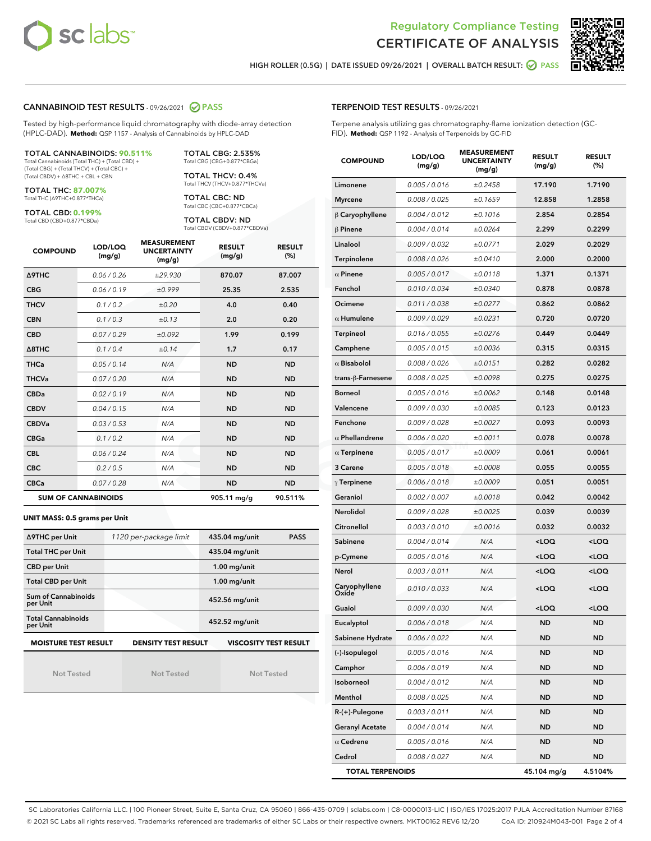



HIGH ROLLER (0.5G) | DATE ISSUED 09/26/2021 | OVERALL BATCH RESULT: @ PASS

#### CANNABINOID TEST RESULTS - 09/26/2021 2 PASS

Tested by high-performance liquid chromatography with diode-array detection (HPLC-DAD). **Method:** QSP 1157 - Analysis of Cannabinoids by HPLC-DAD

#### TOTAL CANNABINOIDS: **90.511%**

Total Cannabinoids (Total THC) + (Total CBD) + (Total CBG) + (Total THCV) + (Total CBC) + (Total CBDV) + ∆8THC + CBL + CBN

TOTAL THC: **87.007%** Total THC (∆9THC+0.877\*THCa)

TOTAL CBD: **0.199%**

Total CBD (CBD+0.877\*CBDa)

TOTAL CBG: 2.535% Total CBG (CBG+0.877\*CBGa)

TOTAL THCV: 0.4% Total THCV (THCV+0.877\*THCVa)

TOTAL CBC: ND Total CBC (CBC+0.877\*CBCa)

TOTAL CBDV: ND Total CBDV (CBDV+0.877\*CBDVa)

| <b>COMPOUND</b>            | LOD/LOQ<br>(mg/g) | <b>MEASUREMENT</b><br><b>UNCERTAINTY</b><br>(mg/g) | <b>RESULT</b><br>(mg/g) | <b>RESULT</b><br>(%) |
|----------------------------|-------------------|----------------------------------------------------|-------------------------|----------------------|
| <b>A9THC</b>               | 0.06 / 0.26       | ±29.930                                            | 870.07                  | 87.007               |
| <b>CBG</b>                 | 0.06/0.19         | ±0.999                                             | 25.35                   | 2.535                |
| <b>THCV</b>                | 0.1 / 0.2         | ±0.20                                              | 4.0                     | 0.40                 |
| <b>CBN</b>                 | 0.1/0.3           | ±0.13                                              | 2.0                     | 0.20                 |
| <b>CBD</b>                 | 0.07/0.29         | ±0.092                                             | 1.99                    | 0.199                |
| $\triangle$ 8THC           | 0.1 / 0.4         | ±0.14                                              | 1.7                     | 0.17                 |
| <b>THCa</b>                | 0.05/0.14         | N/A                                                | <b>ND</b>               | <b>ND</b>            |
| <b>THCVa</b>               | 0.07/0.20         | N/A                                                | <b>ND</b>               | <b>ND</b>            |
| <b>CBDa</b>                | 0.02/0.19         | N/A                                                | <b>ND</b>               | <b>ND</b>            |
| <b>CBDV</b>                | 0.04 / 0.15       | N/A                                                | <b>ND</b>               | <b>ND</b>            |
| <b>CBDVa</b>               | 0.03/0.53         | N/A                                                | <b>ND</b>               | <b>ND</b>            |
| <b>CBGa</b>                | 0.1/0.2           | N/A                                                | <b>ND</b>               | <b>ND</b>            |
| <b>CBL</b>                 | 0.06 / 0.24       | N/A                                                | <b>ND</b>               | <b>ND</b>            |
| <b>CBC</b>                 | 0.2 / 0.5         | N/A                                                | <b>ND</b>               | <b>ND</b>            |
| <b>CBCa</b>                | 0.07/0.28         | N/A                                                | <b>ND</b>               | <b>ND</b>            |
| <b>SUM OF CANNABINOIDS</b> |                   |                                                    | 905.11 mg/g             | 90.511%              |

#### **UNIT MASS: 0.5 grams per Unit**

| ∆9THC per Unit                        | 1120 per-package limit     | 435.04 mg/unit<br><b>PASS</b> |
|---------------------------------------|----------------------------|-------------------------------|
| <b>Total THC per Unit</b>             |                            | 435.04 mg/unit                |
| <b>CBD per Unit</b>                   |                            | $1.00$ mg/unit                |
| <b>Total CBD per Unit</b>             |                            | $1.00$ mg/unit                |
| Sum of Cannabinoids<br>per Unit       |                            | 452.56 mg/unit                |
| <b>Total Cannabinoids</b><br>per Unit |                            | 452.52 mg/unit                |
| <b>MOISTURE TEST RESULT</b>           | <b>DENSITY TEST RESULT</b> | <b>VISCOSITY TEST RESULT</b>  |

Not Tested

Not Tested

Not Tested

#### TERPENOID TEST RESULTS - 09/26/2021

Terpene analysis utilizing gas chromatography-flame ionization detection (GC-FID). **Method:** QSP 1192 - Analysis of Terpenoids by GC-FID

| <b>COMPOUND</b>         | LOD/LOQ<br>(mg/g) | <b>MEASUREMENT</b><br><b>UNCERTAINTY</b><br>(mg/g) | <b>RESULT</b><br>(mg/g)                         | <b>RESULT</b><br>(%) |
|-------------------------|-------------------|----------------------------------------------------|-------------------------------------------------|----------------------|
| Limonene                | 0.005 / 0.016     | ±0.2458                                            | 17.190                                          | 1.7190               |
| <b>Myrcene</b>          | 0.008 / 0.025     | ±0.1659                                            | 12.858                                          | 1.2858               |
| $\beta$ Caryophyllene   | 0.004 / 0.012     | ±0.1016                                            | 2.854                                           | 0.2854               |
| $\beta$ Pinene          | 0.004 / 0.014     | ±0.0264                                            | 2.299                                           | 0.2299               |
| Linalool                | 0.009 / 0.032     | ±0.0771                                            | 2.029                                           | 0.2029               |
| Terpinolene             | 0.008 / 0.026     | ±0.0410                                            | 2.000                                           | 0.2000               |
| $\alpha$ Pinene         | 0.005 / 0.017     | ±0.0118                                            | 1.371                                           | 0.1371               |
| Fenchol                 | 0.010 / 0.034     | ±0.0340                                            | 0.878                                           | 0.0878               |
| Ocimene                 | 0.011 / 0.038     | ±0.0277                                            | 0.862                                           | 0.0862               |
| $\alpha$ Humulene       | 0.009 / 0.029     | ±0.0231                                            | 0.720                                           | 0.0720               |
| Terpineol               | 0.016 / 0.055     | ±0.0276                                            | 0.449                                           | 0.0449               |
| Camphene                | 0.005 / 0.015     | ±0.0036                                            | 0.315                                           | 0.0315               |
| $\alpha$ Bisabolol      | 0.008 / 0.026     | ±0.0151                                            | 0.282                                           | 0.0282               |
| trans-ß-Farnesene       | 0.008 / 0.025     | ±0.0098                                            | 0.275                                           | 0.0275               |
| Borneol                 | 0.005 / 0.016     | ±0.0062                                            | 0.148                                           | 0.0148               |
| Valencene               | 0.009 / 0.030     | ±0.0085                                            | 0.123                                           | 0.0123               |
| Fenchone                | 0.009 / 0.028     | ±0.0027                                            | 0.093                                           | 0.0093               |
| $\alpha$ Phellandrene   | 0.006 / 0.020     | ±0.0011                                            | 0.078                                           | 0.0078               |
| $\alpha$ Terpinene      | 0.005 / 0.017     | ±0.0009                                            | 0.061                                           | 0.0061               |
| 3 Carene                | 0.005 / 0.018     | ±0.0008                                            | 0.055                                           | 0.0055               |
| $\gamma$ Terpinene      | 0.006 / 0.018     | ±0.0009                                            | 0.051                                           | 0.0051               |
| Geraniol                | 0.002 / 0.007     | ±0.0018                                            | 0.042                                           | 0.0042               |
| Nerolidol               | 0.009 / 0.028     | ±0.0025                                            | 0.039                                           | 0.0039               |
| Citronellol             | 0.003 / 0.010     | ±0.0016                                            | 0.032                                           | 0.0032               |
| Sabinene                | 0.004 / 0.014     | N/A                                                | <loq< th=""><th><loq< th=""></loq<></th></loq<> | <loq< th=""></loq<>  |
| p-Cymene                | 0.005 / 0.016     | N/A                                                | <loq< th=""><th><loq< th=""></loq<></th></loq<> | <loq< th=""></loq<>  |
| Nerol                   | 0.003 / 0.011     | N/A                                                | <loq< th=""><th><loq< th=""></loq<></th></loq<> | <loq< th=""></loq<>  |
| Caryophyllene<br>Oxide  | 0.010 / 0.033     | N/A                                                | <loq< th=""><th><loq< th=""></loq<></th></loq<> | <loq< th=""></loq<>  |
| Guaiol                  | 0.009 / 0.030     | N/A                                                | <loq< th=""><th><loq< th=""></loq<></th></loq<> | <loq< th=""></loq<>  |
| Eucalyptol              | 0.006 / 0.018     | N/A                                                | <b>ND</b>                                       | <b>ND</b>            |
| Sabinene Hydrate        | 0.006 / 0.022     | N/A                                                | ND                                              | ND                   |
| (-)-Isopulegol          | 0.005 / 0.016     | N/A                                                | ND                                              | ND                   |
| Camphor                 | 0.006 / 0.019     | N/A                                                | <b>ND</b>                                       | ND                   |
| Isoborneol              | 0.004 / 0.012     | N/A                                                | <b>ND</b>                                       | <b>ND</b>            |
| Menthol                 | 0.008 / 0.025     | N/A                                                | ND                                              | ND                   |
| R-(+)-Pulegone          | 0.003 / 0.011     | N/A                                                | ND                                              | ND                   |
| <b>Geranyl Acetate</b>  | 0.004 / 0.014     | N/A                                                | <b>ND</b>                                       | ND                   |
| $\alpha$ Cedrene        | 0.005 / 0.016     | N/A                                                | ND                                              | ND                   |
| Cedrol                  | 0.008 / 0.027     | N/A                                                | <b>ND</b>                                       | ND                   |
| <b>TOTAL TERPENOIDS</b> |                   | 45.104 mg/g                                        | 4.5104%                                         |                      |

SC Laboratories California LLC. | 100 Pioneer Street, Suite E, Santa Cruz, CA 95060 | 866-435-0709 | sclabs.com | C8-0000013-LIC | ISO/IES 17025:2017 PJLA Accreditation Number 87168 © 2021 SC Labs all rights reserved. Trademarks referenced are trademarks of either SC Labs or their respective owners. MKT00162 REV6 12/20 CoA ID: 210924M043-001 Page 2 of 4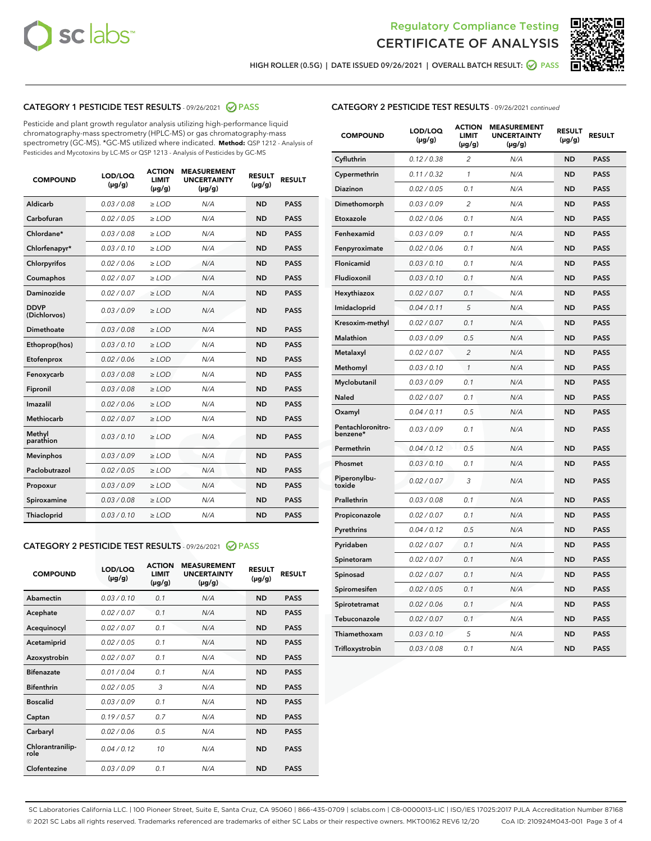



HIGH ROLLER (0.5G) | DATE ISSUED 09/26/2021 | OVERALL BATCH RESULT:  $\bigcirc$  PASS

# CATEGORY 1 PESTICIDE TEST RESULTS - 09/26/2021 2 PASS

Pesticide and plant growth regulator analysis utilizing high-performance liquid chromatography-mass spectrometry (HPLC-MS) or gas chromatography-mass spectrometry (GC-MS). \*GC-MS utilized where indicated. **Method:** QSP 1212 - Analysis of Pesticides and Mycotoxins by LC-MS or QSP 1213 - Analysis of Pesticides by GC-MS

| <b>COMPOUND</b>             | LOD/LOQ<br>$(\mu g/g)$ | <b>ACTION</b><br><b>LIMIT</b><br>$(\mu g/g)$ | <b>MEASUREMENT</b><br><b>UNCERTAINTY</b><br>$(\mu g/g)$ | <b>RESULT</b><br>$(\mu g/g)$ | <b>RESULT</b> |
|-----------------------------|------------------------|----------------------------------------------|---------------------------------------------------------|------------------------------|---------------|
| Aldicarb                    | 0.03 / 0.08            | $\geq$ LOD                                   | N/A                                                     | <b>ND</b>                    | <b>PASS</b>   |
| Carbofuran                  | 0.02 / 0.05            | $>$ LOD                                      | N/A                                                     | <b>ND</b>                    | <b>PASS</b>   |
| Chlordane*                  | 0.03 / 0.08            | $\ge$ LOD                                    | N/A                                                     | <b>ND</b>                    | <b>PASS</b>   |
| Chlorfenapyr*               | 0.03/0.10              | $>$ LOD                                      | N/A                                                     | <b>ND</b>                    | <b>PASS</b>   |
| Chlorpyrifos                | 0.02 / 0.06            | ≥ LOD                                        | N/A                                                     | <b>ND</b>                    | <b>PASS</b>   |
| Coumaphos                   | 0.02 / 0.07            | $\ge$ LOD                                    | N/A                                                     | <b>ND</b>                    | <b>PASS</b>   |
| Daminozide                  | 0.02 / 0.07            | $\geq$ LOD                                   | N/A                                                     | <b>ND</b>                    | <b>PASS</b>   |
| <b>DDVP</b><br>(Dichlorvos) | 0.03/0.09              | $\geq$ LOD                                   | N/A                                                     | <b>ND</b>                    | <b>PASS</b>   |
| Dimethoate                  | 0.03 / 0.08            | $>$ LOD                                      | N/A                                                     | <b>ND</b>                    | <b>PASS</b>   |
| Ethoprop(hos)               | 0.03/0.10              | $\ge$ LOD                                    | N/A                                                     | <b>ND</b>                    | <b>PASS</b>   |
| Etofenprox                  | 0.02 / 0.06            | $>$ LOD                                      | N/A                                                     | <b>ND</b>                    | <b>PASS</b>   |
| Fenoxycarb                  | 0.03 / 0.08            | $\geq$ LOD                                   | N/A                                                     | <b>ND</b>                    | <b>PASS</b>   |
| Fipronil                    | 0.03/0.08              | $>$ LOD                                      | N/A                                                     | <b>ND</b>                    | <b>PASS</b>   |
| Imazalil                    | 0.02 / 0.06            | $\geq$ LOD                                   | N/A                                                     | <b>ND</b>                    | <b>PASS</b>   |
| <b>Methiocarb</b>           | 0.02 / 0.07            | $\ge$ LOD                                    | N/A                                                     | <b>ND</b>                    | <b>PASS</b>   |
| Methyl<br>parathion         | 0.03/0.10              | $\geq$ LOD                                   | N/A                                                     | <b>ND</b>                    | <b>PASS</b>   |
| <b>Mevinphos</b>            | 0.03/0.09              | $>$ LOD                                      | N/A                                                     | <b>ND</b>                    | <b>PASS</b>   |
| Paclobutrazol               | 0.02 / 0.05            | $\geq$ LOD                                   | N/A                                                     | <b>ND</b>                    | <b>PASS</b>   |
| Propoxur                    | 0.03/0.09              | $\ge$ LOD                                    | N/A                                                     | <b>ND</b>                    | <b>PASS</b>   |
| Spiroxamine                 | 0.03 / 0.08            | $\ge$ LOD                                    | N/A                                                     | <b>ND</b>                    | <b>PASS</b>   |
| Thiacloprid                 | 0.03/0.10              | $\geq$ LOD                                   | N/A                                                     | <b>ND</b>                    | <b>PASS</b>   |

#### CATEGORY 2 PESTICIDE TEST RESULTS - 09/26/2021 @ PASS

| <b>COMPOUND</b>          | LOD/LOQ<br>$(\mu g/g)$ | <b>ACTION</b><br>LIMIT<br>$(\mu g/g)$ | <b>MEASUREMENT</b><br><b>UNCERTAINTY</b><br>$(\mu g/g)$ | <b>RESULT</b><br>$(\mu g/g)$ | <b>RESULT</b> |
|--------------------------|------------------------|---------------------------------------|---------------------------------------------------------|------------------------------|---------------|
| Abamectin                | 0.03/0.10              | 0.1                                   | N/A                                                     | <b>ND</b>                    | <b>PASS</b>   |
| Acephate                 | 0.02/0.07              | 0.1                                   | N/A                                                     | <b>ND</b>                    | <b>PASS</b>   |
| Acequinocyl              | 0.02/0.07              | 0.1                                   | N/A                                                     | <b>ND</b>                    | <b>PASS</b>   |
| Acetamiprid              | 0.02/0.05              | 0.1                                   | N/A                                                     | <b>ND</b>                    | <b>PASS</b>   |
| Azoxystrobin             | 0.02/0.07              | 0.1                                   | N/A                                                     | <b>ND</b>                    | <b>PASS</b>   |
| <b>Bifenazate</b>        | 0.01 / 0.04            | 0.1                                   | N/A                                                     | <b>ND</b>                    | <b>PASS</b>   |
| <b>Bifenthrin</b>        | 0.02/0.05              | 3                                     | N/A                                                     | <b>ND</b>                    | <b>PASS</b>   |
| <b>Boscalid</b>          | 0.03/0.09              | 0.1                                   | N/A                                                     | <b>ND</b>                    | <b>PASS</b>   |
| Captan                   | 0.19/0.57              | 0.7                                   | N/A                                                     | <b>ND</b>                    | <b>PASS</b>   |
| Carbaryl                 | 0.02/0.06              | 0.5                                   | N/A                                                     | <b>ND</b>                    | <b>PASS</b>   |
| Chlorantranilip-<br>role | 0.04/0.12              | 10                                    | N/A                                                     | <b>ND</b>                    | <b>PASS</b>   |
| Clofentezine             | 0.03/0.09              | 0.1                                   | N/A                                                     | <b>ND</b>                    | <b>PASS</b>   |

| <b>CATEGORY 2 PESTICIDE TEST RESULTS</b> - 09/26/2021 continued |
|-----------------------------------------------------------------|
|-----------------------------------------------------------------|

| <b>COMPOUND</b>               | LOD/LOQ<br>(µg/g) | <b>ACTION</b><br>LIMIT<br>(µg/g) | <b>MEASUREMENT</b><br><b>UNCERTAINTY</b><br>(µg/g) | <b>RESULT</b><br>(µg/g) | <b>RESULT</b> |
|-------------------------------|-------------------|----------------------------------|----------------------------------------------------|-------------------------|---------------|
| Cyfluthrin                    | 0.12 / 0.38       | $\overline{c}$                   | N/A                                                | <b>ND</b>               | <b>PASS</b>   |
| Cypermethrin                  | 0.11/0.32         | 1                                | N/A                                                | <b>ND</b>               | <b>PASS</b>   |
| Diazinon                      | 0.02 / 0.05       | 0.1                              | N/A                                                | <b>ND</b>               | <b>PASS</b>   |
| Dimethomorph                  | 0.03 / 0.09       | 2                                | N/A                                                | <b>ND</b>               | <b>PASS</b>   |
| Etoxazole                     | 0.02 / 0.06       | 0.1                              | N/A                                                | <b>ND</b>               | <b>PASS</b>   |
| Fenhexamid                    | 0.03 / 0.09       | 0.1                              | N/A                                                | <b>ND</b>               | <b>PASS</b>   |
| Fenpyroximate                 | 0.02 / 0.06       | 0.1                              | N/A                                                | <b>ND</b>               | <b>PASS</b>   |
| Flonicamid                    | 0.03 / 0.10       | 0.1                              | N/A                                                | <b>ND</b>               | <b>PASS</b>   |
| Fludioxonil                   | 0.03 / 0.10       | 0.1                              | N/A                                                | <b>ND</b>               | <b>PASS</b>   |
| Hexythiazox                   | 0.02 / 0.07       | 0.1                              | N/A                                                | <b>ND</b>               | <b>PASS</b>   |
| Imidacloprid                  | 0.04 / 0.11       | 5                                | N/A                                                | <b>ND</b>               | <b>PASS</b>   |
| Kresoxim-methyl               | 0.02 / 0.07       | 0.1                              | N/A                                                | <b>ND</b>               | <b>PASS</b>   |
| Malathion                     | 0.03 / 0.09       | 0.5                              | N/A                                                | <b>ND</b>               | <b>PASS</b>   |
| Metalaxyl                     | 0.02 / 0.07       | 2                                | N/A                                                | <b>ND</b>               | <b>PASS</b>   |
| Methomyl                      | 0.03 / 0.10       | $\mathcal{I}$                    | N/A                                                | <b>ND</b>               | <b>PASS</b>   |
| Myclobutanil                  | 0.03 / 0.09       | 0.1                              | N/A                                                | <b>ND</b>               | <b>PASS</b>   |
| Naled                         | 0.02 / 0.07       | 0.1                              | N/A                                                | <b>ND</b>               | <b>PASS</b>   |
| Oxamyl                        | 0.04 / 0.11       | 0.5                              | N/A                                                | <b>ND</b>               | <b>PASS</b>   |
| Pentachloronitro-<br>benzene* | 0.03 / 0.09       | 0.1                              | N/A                                                | <b>ND</b>               | <b>PASS</b>   |
| Permethrin                    | 0.04 / 0.12       | 0.5                              | N/A                                                | <b>ND</b>               | <b>PASS</b>   |
| Phosmet                       | 0.03 / 0.10       | 0.1                              | N/A                                                | <b>ND</b>               | <b>PASS</b>   |
| Piperonylbu-<br>toxide        | 0.02 / 0.07       | 3                                | N/A                                                | <b>ND</b>               | <b>PASS</b>   |
| Prallethrin                   | 0.03 / 0.08       | 0.1                              | N/A                                                | <b>ND</b>               | <b>PASS</b>   |
| Propiconazole                 | 0.02 / 0.07       | 0.1                              | N/A                                                | <b>ND</b>               | <b>PASS</b>   |
| Pyrethrins                    | 0.04 / 0.12       | 0.5                              | N/A                                                | <b>ND</b>               | <b>PASS</b>   |
| Pyridaben                     | 0.02 / 0.07       | 0.1                              | N/A                                                | <b>ND</b>               | <b>PASS</b>   |
| Spinetoram                    | 0.02 / 0.07       | 0.1                              | N/A                                                | <b>ND</b>               | <b>PASS</b>   |
| Spinosad                      | 0.02 / 0.07       | 0.1                              | N/A                                                | <b>ND</b>               | <b>PASS</b>   |
| Spiromesifen                  | 0.02 / 0.05       | 0.1                              | N/A                                                | <b>ND</b>               | <b>PASS</b>   |
| Spirotetramat                 | 0.02 / 0.06       | 0.1                              | N/A                                                | ND                      | <b>PASS</b>   |
| Tebuconazole                  | 0.02 / 0.07       | 0.1                              | N/A                                                | <b>ND</b>               | <b>PASS</b>   |
| Thiamethoxam                  | 0.03 / 0.10       | 5                                | N/A                                                | <b>ND</b>               | <b>PASS</b>   |
| Trifloxystrobin               | 0.03 / 0.08       | 0.1                              | N/A                                                | <b>ND</b>               | <b>PASS</b>   |

SC Laboratories California LLC. | 100 Pioneer Street, Suite E, Santa Cruz, CA 95060 | 866-435-0709 | sclabs.com | C8-0000013-LIC | ISO/IES 17025:2017 PJLA Accreditation Number 87168 © 2021 SC Labs all rights reserved. Trademarks referenced are trademarks of either SC Labs or their respective owners. MKT00162 REV6 12/20 CoA ID: 210924M043-001 Page 3 of 4